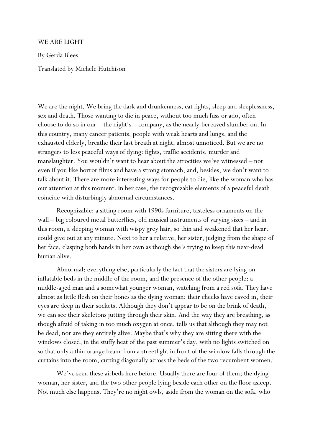## WE ARE LIGHT

By Gerda Blees

Translated by Michele Hutchison

We are the night. We bring the dark and drunkenness, cat fights, sleep and sleeplessness, sex and death. Those wanting to die in peace, without too much fuss or ado, often choose to do so in our – the night's – company, as the nearly-bereaved slumber on. In this country, many cancer patients, people with weak hearts and lungs, and the exhausted elderly, breathe their last breath at night, almost unnoticed. But we are no strangers to less peaceful ways of dying: fights, traffic accidents, murder and manslaughter. You wouldn't want to hear about the atrocities we've witnessed – not even if you like horror films and have a strong stomach, and, besides, we don't want to talk about it. There are more interesting ways for people to die, like the woman who has our attention at this moment. In her case, the recognizable elements of a peaceful death coincide with disturbingly abnormal circumstances.

Recognizable: a sitting room with 1990s furniture, tasteless ornaments on the wall – big coloured metal butterflies, old musical instruments of varying sizes – and in this room, a sleeping woman with wispy grey hair, so thin and weakened that her heart could give out at any minute. Next to her a relative, her sister, judging from the shape of her face, clasping both hands in her own as though she's trying to keep this near-dead human alive.

Abnormal: everything else, particularly the fact that the sisters are lying on inflatable beds in the middle of the room, and the presence of the other people: a middle-aged man and a somewhat younger woman, watching from a red sofa. They have almost as little flesh on their bones as the dying woman; their cheeks have caved in, their eyes are deep in their sockets. Although they don't appear to be on the brink of death, we can see their skeletons jutting through their skin. And the way they are breathing, as though afraid of taking in too much oxygen at once, tells us that although they may not be dead, nor are they entirely alive. Maybe that's why they are sitting there with the windows closed, in the stuffy heat of the past summer's day, with no lights switched on so that only a thin orange beam from a streetlight in front of the window falls through the curtains into the room, cutting diagonally across the beds of the two recumbent women.

We've seen these airbeds here before. Usually there are four of them; the dying woman, her sister, and the two other people lying beside each other on the floor asleep. Not much else happens. They're no night owls, aside from the woman on the sofa, who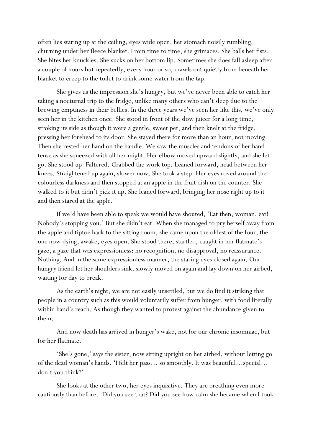often lies staring up at the ceiling, eyes wide open, her stomach noisily rumbling, churning under her fleece blanket. From time to time, she grimaces. She balls her fists. She bites her knuckles. She sucks on her bottom lip. Sometimes she does fall asleep after a couple of hours but repeatedly, every hour or so, crawls out quietly from beneath her blanket to creep to the toilet to drink some water from the tap.

She gives us the impression she's hungry, but we've never been able to catch her taking a nocturnal trip to the fridge, unlike many others who can't sleep due to the brewing emptiness in their bellies. In the three years we've seen her like this, we've only seen her in the kitchen once. She stood in front of the slow juicer for a long time, stroking its side as though it were a gentle, sweet pet, and then knelt at the fridge, pressing her forehead to its door. She stayed there for more than an hour, not moving. Then she rested her hand on the handle. We saw the muscles and tendons of her hand tense as she squeezed with all her might. Her elbow moved upward slightly, and she let go. She stood up. Faltered. Grabbed the work top. Leaned forward, head between her knees. Straightened up again, slower now. She took a step. Her eyes roved around the colourless darkness and then stopped at an apple in the fruit dish on the counter. She walked to it but didn't pick it up. She leaned forward, bringing her nose right up to it and then stared at the apple.

If we'd have been able to speak we would have shouted, 'Eat then, woman, eat! Nobody's stopping you.' But she didn't eat. When she managed to pry herself away from the apple and tiptoe back to the sitting room, she came upon the oldest of the four, the one now dying, awake, eyes open. She stood there, startled, caught in her flatmate's gaze, a gaze that was expressionless: no recognition, no disapproval, no reassurance. Nothing. And in the same expressionless manner, the staring eyes closed again. Our hungry friend let her shoulders sink, slowly moved on again and lay down on her airbed, waiting for day to break.

As the earth's night, we are not easily unsettled, but we do find it striking that people in a country such as this would voluntarily suffer from hunger, with food literally within hand's reach. As though they wanted to protest against the abundance given to them.

And now death has arrived in hunger's wake, not for our chronic insomniac, but for her flatmate.

'She's gone,' says the sister, now sitting upright on her airbed, without letting go of the dead woman's hands. 'I felt her pass… so smoothly. It was beautiful…special… don't you think?'

She looks at the other two, her eyes inquisitive. They are breathing even more cautiously than before. 'Did you see that? Did you see how calm she became when I took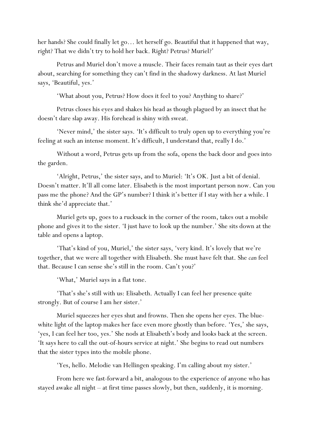her hands? She could finally let go… let herself go. Beautiful that it happened that way, right? That we didn't try to hold her back. Right? Petrus? Muriel?'

Petrus and Muriel don't move a muscle. Their faces remain taut as their eyes dart about, searching for something they can't find in the shadowy darkness. At last Muriel says, 'Beautiful, yes.'

'What about you, Petrus? How does it feel to you? Anything to share?'

Petrus closes his eyes and shakes his head as though plagued by an insect that he doesn't dare slap away. His forehead is shiny with sweat.

'Never mind,' the sister says. 'It's difficult to truly open up to everything you're feeling at such an intense moment. It's difficult, I understand that, really I do.'

Without a word, Petrus gets up from the sofa, opens the back door and goes into the garden.

'Alright, Petrus,' the sister says, and to Muriel: 'It's OK. Just a bit of denial. Doesn't matter. It'll all come later. Elisabeth is the most important person now. Can you pass me the phone? And the GP's number? I think it's better if I stay with her a while. I think she'd appreciate that.'

Muriel gets up, goes to a rucksack in the corner of the room, takes out a mobile phone and gives it to the sister. 'I just have to look up the number.' She sits down at the table and opens a laptop.

'That's kind of you, Muriel,' the sister says, 'very kind. It's lovely that we're together, that we were all together with Elisabeth. She must have felt that. She *can* feel that. Because I can sense she's still in the room. Can't you?'

'What,' Muriel says in a flat tone.

'That's she's still with us: Elisabeth. Actually I can feel her presence quite strongly. But of course I am her sister.'

Muriel squeezes her eyes shut and frowns. Then she opens her eyes. The bluewhite light of the laptop makes her face even more ghostly than before. 'Yes,' she says, 'yes, I can feel her too, yes.' She nods at Elisabeth's body and looks back at the screen. 'It says here to call the out-of-hours service at night.' She begins to read out numbers that the sister types into the mobile phone.

'Yes, hello. Melodie van Hellingen speaking. I'm calling about my sister.'

From here we fast-forward a bit, analogous to the experience of anyone who has stayed awake all night – at first time passes slowly, but then, suddenly, it is morning.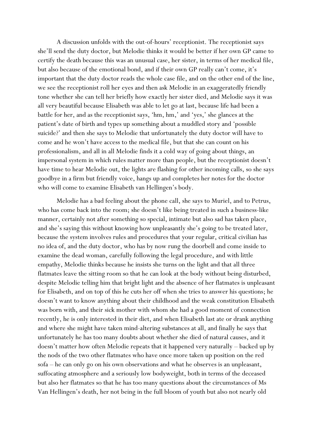A discussion unfolds with the out-of-hours' receptionist. The receptionist says she'll send the duty doctor, but Melodie thinks it would be better if her own GP came to certify the death because this was an unusual case, her sister, in terms of her medical file, but also because of the emotional bond, and if their own GP really can't come, it's important that the duty doctor reads the whole case file, and on the other end of the line, we see the receptionist roll her eyes and then ask Melodie in an exaggeratedly friendly tone whether she can tell her briefly how exactly her sister died, and Melodie says it was all very beautiful because Elisabeth was able to let go at last, because life had been a battle for her, and as the receptionist says, 'hm, hm,' and 'yes,' she glances at the patient's date of birth and types up something about a muddled story and 'possible suicide?' and then she says to Melodie that unfortunately the duty doctor will have to come and he won't have access to the medical file, but that she can count on his professionalism, and all in all Melodie finds it a cold way of going about things, an impersonal system in which rules matter more than people, but the receptionist doesn't have time to hear Melodie out, the lights are flashing for other incoming calls, so she says goodbye in a firm but friendly voice, hangs up and completes her notes for the doctor who will come to examine Elisabeth van Hellingen's body.

Melodie has a bad feeling about the phone call, she says to Muriel, and to Petrus, who has come back into the room; she doesn't like being treated in such a business-like manner, certainly not after something so special, intimate but also sad has taken place, and she's saying this without knowing how unpleasantly she's going to be treated later, because the system involves rules and procedures that your regular, critical civilian has no idea of, and the duty doctor, who has by now rung the doorbell and come inside to examine the dead woman, carefully following the legal procedure, and with little empathy, Melodie thinks because he insists she turns on the light and that all three flatmates leave the sitting room so that he can look at the body without being disturbed, despite Melodie telling him that bright light and the absence of her flatmates is unpleasant for Elisabeth, and on top of this he cuts her off when she tries to answer his questions; he doesn't want to know anything about their childhood and the weak constitution Elisabeth was born with, and their sick mother with whom she had a good moment of connection recently, he is only interested in their diet, and when Elisabeth last ate or drank anything and where she might have taken mind-altering substances at all, and finally he says that unfortunately he has too many doubts about whether she died of natural causes, and it doesn't matter how often Melodie repeats that it happened very naturally – backed up by the nods of the two other flatmates who have once more taken up position on the red sofa – he can only go on his own observations and what he observes is an unpleasant, suffocating atmosphere and a seriously low bodyweight, both in terms of the deceased but also her flatmates so that he has too many questions about the circumstances of Ms Van Hellingen's death, her not being in the full bloom of youth but also not nearly old